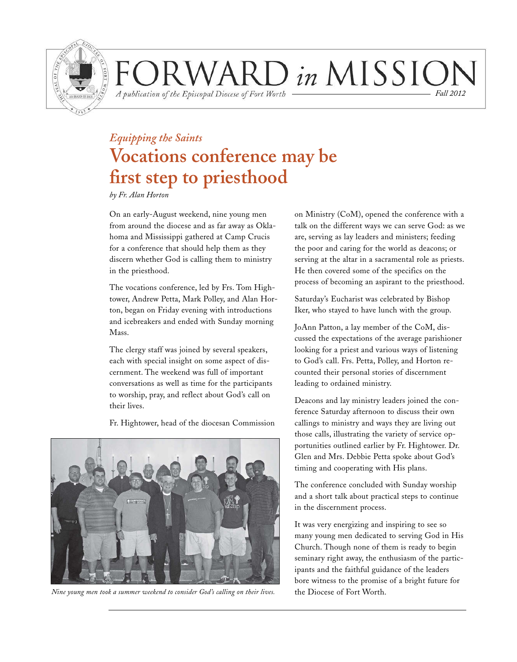

### ORWARD in MISSION *Fall 2012*

A publication of the Episcopal Diocese of Fort Worth

# *Equipping the Saints* **Vocations conference may be first step to priesthood**

*by Fr. Alan Horton*

On an early-August weekend, nine young men from around the diocese and as far away as Oklahoma and Mississippi gathered at Camp Crucis for a conference that should help them as they discern whether God is calling them to ministry in the priesthood.

The vocations conference, led by Frs. Tom Hightower, Andrew Petta, Mark Polley, and Alan Horton, began on Friday evening with introductions and icebreakers and ended with Sunday morning Mass.

The clergy staff was joined by several speakers, each with special insight on some aspect of discernment. The weekend was full of important conversations as well as time for the participants to worship, pray, and reflect about God's call on their lives.

Fr. Hightower, head of the diocesan Commission



*Nine young men took a summer weekend to consider God's calling on their lives.*

on Ministry (CoM), opened the conference with a talk on the different ways we can serve God: as we are, serving as lay leaders and ministers; feeding the poor and caring for the world as deacons; or serving at the altar in a sacramental role as priests. He then covered some of the specifics on the process of becoming an aspirant to the priesthood.

Saturday's Eucharist was celebrated by Bishop Iker, who stayed to have lunch with the group.

JoAnn Patton, a lay member of the CoM, discussed the expectations of the average parishioner looking for a priest and various ways of listening to God's call. Frs. Petta, Polley, and Horton recounted their personal stories of discernment leading to ordained ministry.

Deacons and lay ministry leaders joined the conference Saturday afternoon to discuss their own callings to ministry and ways they are living out those calls, illustrating the variety of service opportunities outlined earlier by Fr. Hightower. Dr. Glen and Mrs. Debbie Petta spoke about God's timing and cooperating with His plans.

The conference concluded with Sunday worship and a short talk about practical steps to continue in the discernment process.

It was very energizing and inspiring to see so many young men dedicated to serving God in His Church. Though none of them is ready to begin seminary right away, the enthusiasm of the participants and the faithful guidance of the leaders bore witness to the promise of a bright future for the Diocese of Fort Worth.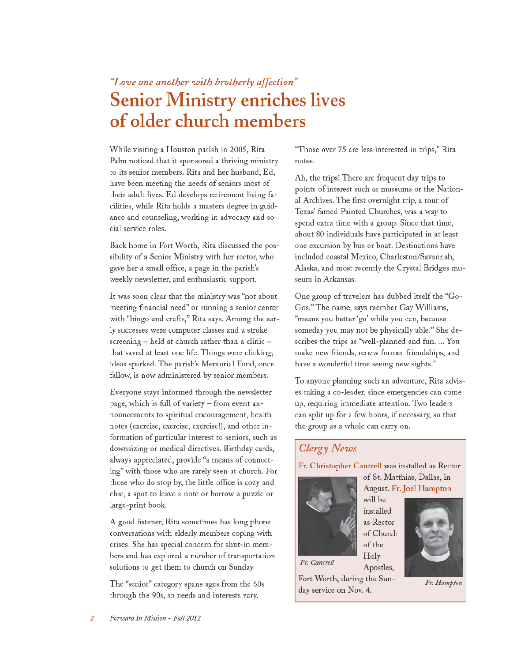### "Love one another with brotherly affection" **Senior Ministry enriches lives** of older church members

While visiting a Houston parish in 2005, Rita Palm noticed that it sponsored a thriving ministry to its senior members. Rita and her husband, Ed, have been meeting the needs of seniors most of their adult lives. Ed develops retirement living facilities, while Rita holds a masters degree in guidance and counseling, working in advocacy and social service roles.

Back home in Fort Worth, Rita discussed the possibility of a Senior Ministry with her rector, who gave her a small office, a page in the parish's weekly newsletter, and enthusiastic support.

It was soon clear that the ministry was "not about meeting financial need" or running a senior center with "bingo and crafts," Rita says. Among the early successes were computer classes and a stroke screening - held at church rather than a clinic that saved at least one life. Things were clicking; ideas sparked. The parish's Memorial Fund, once fallow, is now administered by senior members.

Everyone stays informed through the newsletter page, which is full of variety - from event announcements to spiritual encouragement, health notes (exercise, exercise, exercise!), and other information of particular interest to seniors, such as downsizing or medical directives. Birthday cards, always appreciated, provide "a means of connecting" with those who are rarely seen at church. For those who do stop by, the little office is cozy and chic, a spot to leave a note or borrow a puzzle or large-print book.

A good listener, Rita sometimes has long phone conversations with elderly members coping with crises. She has special concern for shut-in members and has explored a number of transportation solutions to get them to church on Sunday.

The "senior" category spans ages from the 60s through the 90s, so needs and interests vary.

"Those over 75 are less interested in trips," Rita notes.

Ah, the trips! There are frequent day trips to points of interest such as museums or the National Archives. The first overnight trip, a tour of Texas' famed Painted Churches, was a way to spend extra time with a group. Since that time, about 80 individuals have participated in at least one excursion by bus or boat. Destinations have included coastal Mexico, Charleston/Savannah, Alaska, and most recently the Crystal Bridges museum in Arkansas.

One group of travelers has dubbed itself the "Go-Gos." The name, says member Gay Williams, "means you better 'go' while you can, because someday you may not be physically able." She describes the trips as "well-planned and fun. ... You make new friends, renew former friendships, and have a wonderful time seeing new sights."

To anyone planning such an adventure, Rita advises taking a co-leader, since emergencies can come up, requiring immediate attention. Two leaders can split up for a few hours, if necessary, so that the group as a whole can carry on.

### Clergy News

Fr. Christopher Cantrell was installed as Rector

of Church of the

Apostles,

Holy



August. Fr. Joel Hampton will be installed as Rector

of St. Matthias, Dallas, in

Fr. Cantrell

Fort Worth, during the Sunday service on Nov. 4.



Fr. Hampton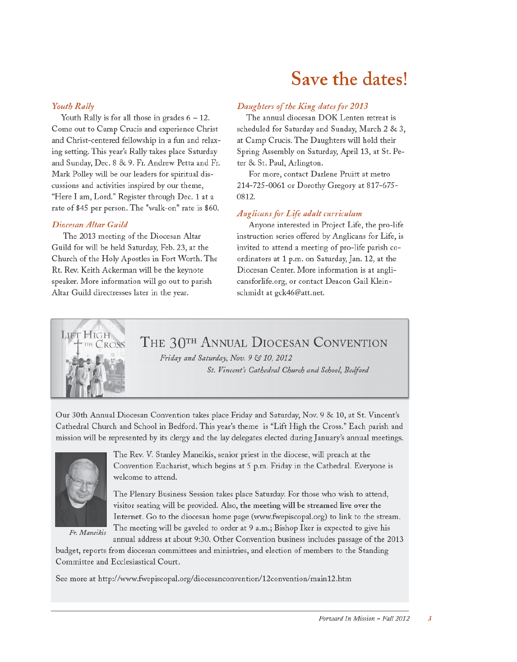# Save the dates!

### **Youth Rally**

Youth Rally is for all those in grades  $6 - 12$ . Come out to Camp Crucis and experience Christ and Christ-centered fellowship in a fun and relaxing setting. This year's Rally takes place Saturday and Sunday, Dec. 8 & 9. Fr. Andrew Petta and Fr. Mark Polley will be our leaders for spiritual discussions and activities inspired by our theme, "Here I am, Lord." Register through Dec. 1 at a rate of \$45 per person. The "walk-on" rate is \$60.

#### Diocesan Altar Guild

LIFT HIGH

The 2013 meeting of the Diocesan Altar Guild for will be held Saturday, Feb. 23, at the Church of the Holy Apostles in Fort Worth. The Rt. Rev. Keith Ackerman will be the keynote speaker. More information will go out to parish Altar Guild directresses later in the year.

#### Daughters of the King dates for 2013

The annual diocesan DOK Lenten retreat is scheduled for Saturday and Sunday, March 2 & 3, at Camp Crucis. The Daughters will hold their Spring Assembly on Saturday, April 13, at St. Peter & St. Paul, Arlington.

For more, contact Darlene Pruitt at metro 214-725-0061 or Dorothy Gregory at 817-675-0812.

#### **Anglicans for Life adult curriculum**

Anyone interested in Project Life, the pro-life instruction series offered by Anglicans for Life, is invited to attend a meeting of pro-life parish coordinators at 1 p.m. on Saturday, Jan. 12, at the Diocesan Center. More information is at anglicansforlife.org, or contact Deacon Gail Kleinschmidt at gck46@att.net.

THE 30<sup>TH</sup> ANNUAL DIOCESAN CONVENTION

Friday and Saturday, Nov. 9 & 10, 2012 St. Vincent's Cathedral Church and School, Bedford

Our 30th Annual Diocesan Convention takes place Friday and Saturday, Nov. 9 & 10, at St. Vincent's Cathedral Church and School in Bedford. This year's theme is "Lift High the Cross." Each parish and mission will be represented by its clergy and the lay delegates elected during January's annual meetings.



Fr. Maneikis

The Rev. V. Stanley Maneikis, senior priest in the diocese, will preach at the Convention Eucharist, which begins at 5 p.m. Friday in the Cathedral. Everyone is welcome to attend.

The Plenary Business Session takes place Saturday. For those who wish to attend, visitor seating will be provided. Also, the meeting will be streamed live over the Internet. Go to the diocesan home page (www.fwepiscopal.org) to link to the stream. The meeting will be gaveled to order at 9 a.m.; Bishop Iker is expected to give his

annual address at about 9:30. Other Convention business includes passage of the 2013 budget, reports from diocesan committees and ministries, and election of members to the Standing Committee and Ecclesiastical Court.

See more at http://www.fwepiscopal.org/diocesanconvention/12convention/main12.htm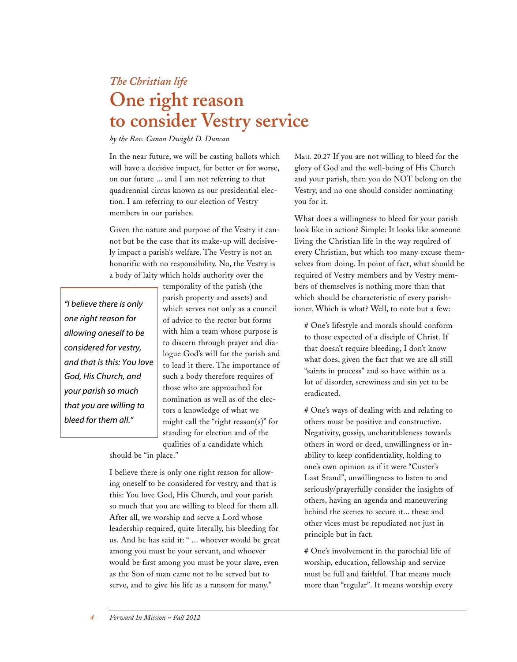### *The Christian life* **One right reason to consider Vestry service**

*by the Rev. Canon Dwight D. Duncan*

In the near future, we will be casting ballots which will have a decisive impact, for better or for worse, on our future ... and I am not referring to that quadrennial circus known as our presidential election. I am referring to our election of Vestry members in our parishes.

Given the nature and purpose of the Vestry it cannot but be the case that its make-up will decisively impact a parish's welfare. The Vestry is not an honorific with no responsibility. No, the Vestry is a body of laity which holds authority over the

*"I believe there is only one right reason for allowing oneself to be considered for vestry, and that is this: You love God, His Church, and your parish so much that you are willing to bleed for them all."*

temporality of the parish (the parish property and assets) and which serves not only as a council of advice to the rector but forms with him a team whose purpose is to discern through prayer and dialogue God's will for the parish and to lead it there. The importance of such a body therefore requires of those who are approached for nomination as well as of the electors a knowledge of what we might call the "right reason(s)" for standing for election and of the qualities of a candidate which

should be "in place."

I believe there is only one right reason for allowing oneself to be considered for vestry, and that is this: You love God, His Church, and your parish so much that you are willing to bleed for them all. After all, we worship and serve a Lord whose leadership required, quite literally, his bleeding for us. And he has said it: " ... whoever would be great among you must be your servant, and whoever would be first among you must be your slave, even as the Son of man came not to be served but to serve, and to give his life as a ransom for many."

Matt. 20.27 If you are not willing to bleed for the glory of God and the well-being of His Church and your parish, then you do NOT belong on the Vestry, and no one should consider nominating you for it.

What does a willingness to bleed for your parish look like in action? Simple: It looks like someone living the Christian life in the way required of every Christian, but which too many excuse themselves from doing. In point of fact, what should be required of Vestry members and by Vestry members of themselves is nothing more than that which should be characteristic of every parishioner. Which is what? Well, to note but a few:

# One's lifestyle and morals should conform to those expected of a disciple of Christ. If that doesn't require bleeding, I don't know what does, given the fact that we are all still "saints in process" and so have within us a lot of disorder, screwiness and sin yet to be eradicated.

# One's ways of dealing with and relating to others must be positive and constructive. Negativity, gossip, uncharitableness towards others in word or deed, unwillingness or inability to keep confidentiality, holding to one's own opinion as if it were "Custer's Last Stand", unwillingness to listen to and seriously/prayerfully consider the insights of others, having an agenda and maneuvering behind the scenes to secure it... these and other vices must be repudiated not just in principle but in fact.

# One's involvement in the parochial life of worship, education, fellowship and service must be full and faithful. That means much more than "regular". It means worship every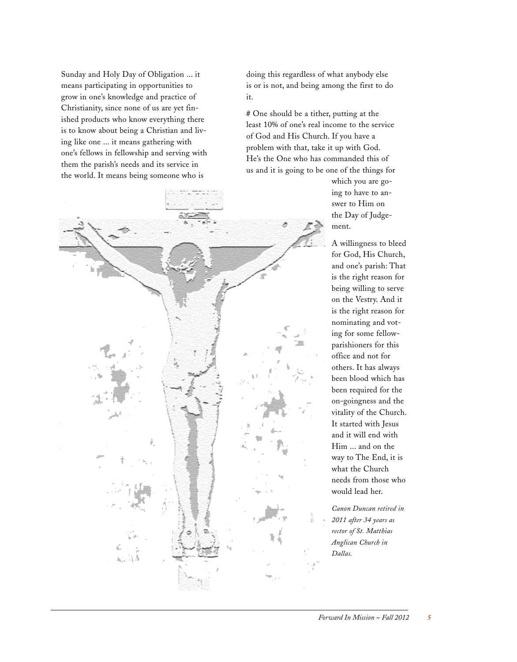Sunday and Holy Day of Obligation ... it means participating in opportunities to grow in one's knowledge and practice of Christianity, since none of us are yet finished products who know everything there is to know about being a Christian and living like one ... it means gathering with one's fellows in fellowship and serving with them the parish's needs and its service in the world. It means being someone who is

doing this regardless of what anybody else is or is not, and being among the first to do it.

# One should be a tither, putting at the least 10% of one's real income to the service of God and His Church. If you have a problem with that, take it up with God. He's the One who has commanded this of us and it is going to be one of the things for

> which you are going to have to answer to Him on the Day of Judgement.

A willingness to bleed for God, His Church, and one's parish: That is the right reason for being willing to serve on the Vestry. And it is the right reason for nominating and voting for some fellowparishioners for this office and not for others. It has always been blood which has been required for the on-goingness and the vitality of the Church. It started with Jesus and it will end with Him ... and on the way to The End, it is what the Church needs from those who would lead her.

*Canon Duncan retired in 2011 after 34 years as rector of St. Matthias Anglican Church in Dallas.*

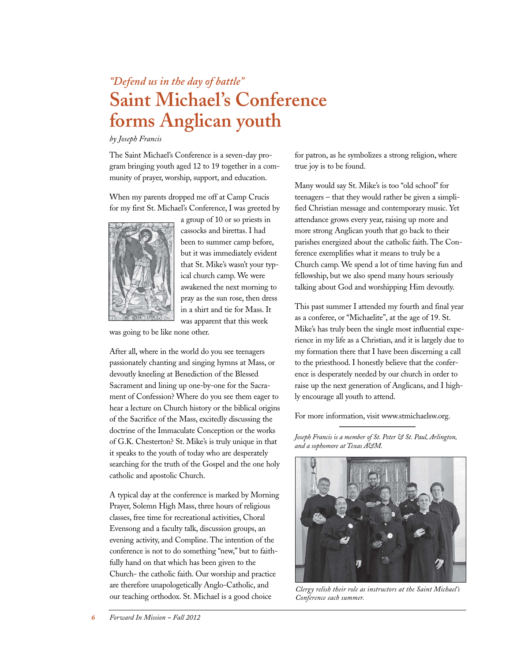### *"Defend us in the day of battle"* **Saint Michael's Conference forms Anglican youth**

*by Joseph Francis*

The Saint Michael's Conference is a seven-day program bringing youth aged 12 to 19 together in a community of prayer, worship, support, and education.

When my parents dropped me off at Camp Crucis for my first St. Michael's Conference, I was greeted by



a group of 10 or so priests in cassocks and birettas. I had been to summer camp before, but it was immediately evident that St. Mike's wasn't your typical church camp. We were awakened the next morning to pray as the sun rose, then dress in a shirt and tie for Mass. It was apparent that this week

was going to be like none other.

After all, where in the world do you see teenagers passionately chanting and singing hymns at Mass, or devoutly kneeling at Benediction of the Blessed Sacrament and lining up one-by-one for the Sacrament of Confession? Where do you see them eager to hear a lecture on Church history or the biblical origins of the Sacrifice of the Mass, excitedly discussing the doctrine of the Immaculate Conception or the works of G.K. Chesterton? St. Mike's is truly unique in that it speaks to the youth of today who are desperately searching for the truth of the Gospel and the one holy catholic and apostolic Church.

A typical day at the conference is marked by Morning Prayer, Solemn High Mass, three hours of religious classes, free time for recreational activities, Choral Evensong and a faculty talk, discussion groups, an evening activity, and Compline. The intention of the conference is not to do something "new," but to faithfully hand on that which has been given to the Church- the catholic faith. Our worship and practice are therefore unapologetically Anglo-Catholic, and our teaching orthodox. St. Michael is a good choice

for patron, as he symbolizes a strong religion, where true joy is to be found.

Many would say St. Mike's is too "old school" for teenagers – that they would rather be given a simplified Christian message and contemporary music. Yet attendance grows every year, raising up more and more strong Anglican youth that go back to their parishes energized about the catholic faith. The Conference exemplifies what it means to truly be a Church camp. We spend a lot of time having fun and fellowship, but we also spend many hours seriously talking about God and worshipping Him devoutly.

This past summer I attended my fourth and final year as a conferee, or "Michaelite", at the age of 19. St. Mike's has truly been the single most influential experience in my life as a Christian, and it is largely due to my formation there that I have been discerning a call to the priesthood. I honestly believe that the conference is desperately needed by our church in order to raise up the next generation of Anglicans, and I highly encourage all youth to attend.

For more information, visit www.stmichaelsw.org.

*Joseph Francis is a member of St. Peter & St. Paul, Arlington, and a sophomore at Texas A&M.*



*Clergy relish their role as instructors at the Saint Michael's Conference each summer.*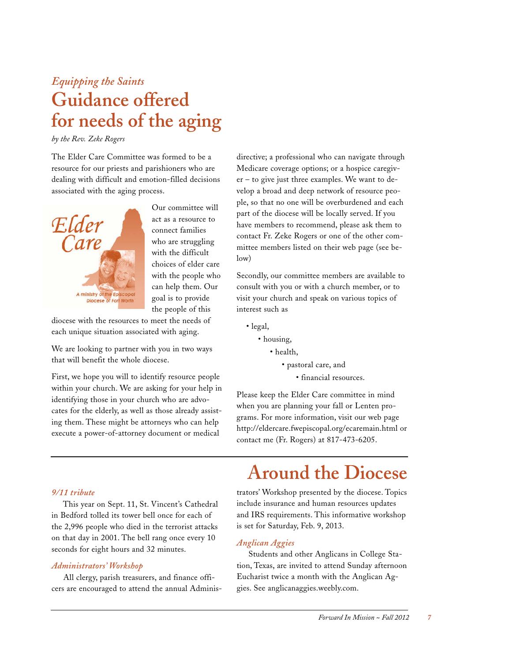### *Equipping the Saints* **Guidance offered for needs of the aging**

*by the Rev. Zeke Rogers*

The Elder Care Committee was formed to be a resource for our priests and parishioners who are dealing with difficult and emotion-filled decisions associated with the aging process.



Our committee will act as a resource to connect families who are struggling with the difficult choices of elder care with the people who can help them. Our goal is to provide the people of this

diocese with the resources to meet the needs of each unique situation associated with aging.

We are looking to partner with you in two ways that will benefit the whole diocese.

First, we hope you will to identify resource people within your church. We are asking for your help in identifying those in your church who are advocates for the elderly, as well as those already assisting them. These might be attorneys who can help execute a power-of-attorney document or medical

directive; a professional who can navigate through Medicare coverage options; or a hospice caregiver – to give just three examples. We want to develop a broad and deep network of resource people, so that no one will be overburdened and each part of the diocese will be locally served. If you have members to recommend, please ask them to contact Fr. Zeke Rogers or one of the other committee members listed on their web page (see below)

Secondly, our committee members are available to consult with you or with a church member, or to visit your church and speak on various topics of interest such as

- legal,
	- housing,
		- health,
			- pastoral care, and
				- financial resources.

Please keep the Elder Care committee in mind when you are planning your fall or Lenten programs. For more information, visit our web page http://eldercare.fwepiscopal.org/ecaremain.html or contact me (Fr. Rogers) at 817-473-6205.

### *9/11 tribute*

This year on Sept. 11, St. Vincent's Cathedral in Bedford tolled its tower bell once for each of the 2,996 people who died in the terrorist attacks on that day in 2001. The bell rang once every 10 seconds for eight hours and 32 minutes.

### *Administrators' Workshop*

All clergy, parish treasurers, and finance officers are encouraged to attend the annual Adminis-

# **Around the Diocese**

trators' Workshop presented by the diocese. Topics include insurance and human resources updates and IRS requirements. This informative workshop is set for Saturday, Feb. 9, 2013.

### *Anglican Aggies*

Students and other Anglicans in College Station, Texas, are invited to attend Sunday afternoon Eucharist twice a month with the Anglican Aggies. See anglicanaggies.weebly.com.